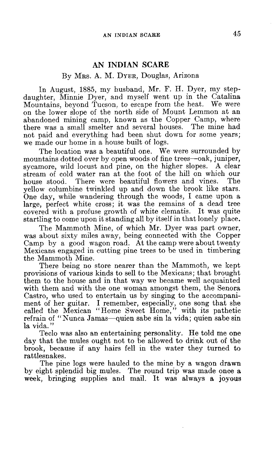## AN INDIAN SCARE

## By MRS. A. M. DYER, Douglas, Arizona

In August, 1885, my husband, Mr. F. H. Dyer, my stepdaughter, Minnie Dyer, and myself went up in the Catalina Mountains, beyond Tucson, to escape from the heat. We were on the lower slope of the north side of Mount Lemmon at an abandoned mining camp, known as the Copper Camp, where there was a small smelter and several houses. The mine had not paid and everything had been shut down for some years; we made our home in a house built of logs.

The location was a beautiful one. We were surrounded by mountains dotted over by open woods of fine trees—oak, juniper, sycamore, wild locust and pine, on the higher slopes. A clear stream of cold water ran at the foot of the hill on which our house stood. There were beautiful flowers and vines. The There were beautiful flowers and vines. yellow columbine twinkled up and down the brook like stars. One day, while wandering through the woods, I came upon a large, perfect white cross; it was the remains of a dead tree covered with a profuse growth of white clematis. It was quite startling to come upon it standing all by itself in that lonely place.

The Mammoth Mine, of which Mr. Dyer was part owner, was about sixty miles away, being connected with the Copper Camp by a good wagon road. At the camp were about twenty Mexicans engaged in cutting pine trees to be used in timbering the Mammoth Mine.

There being no store nearer than the Mammoth, we kept provisions of various kinds to sell to the Mexicans; that brought them to the house and in that way we became well acquainted with them and with the one woman amongst them, the Senora Castro, who used to entertain us by singing to the accompaniment of her guitar. I remember, especially, one song that she called the Mexican "Home Sweet Home," with its pathetic refrain of "Nunca Jamas—quien sabe sin la vida; quien sabe sin la vida."

Teclo was also an entertaining personality. He told me one day that the mules ought not to be allowed to drink out of the brook, because if any hairs fell in the water they turned to rattlesnakes.

The pine logs were hauled to the mine by a wagon drawn by eight splendid big mules. The round trip was made once a week, bringing supplies and mail. It was always a joyous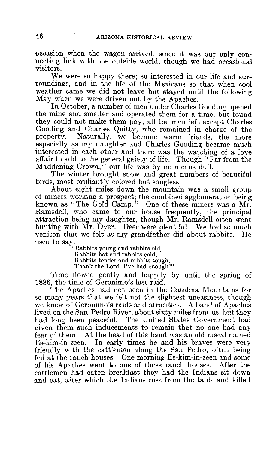occasion when the wagon arrived, since it was our only connecting link with the outside world, though we had occasional visitors.

We were so happy there; so interested in our life and surroundings, and in the life of the Mexicans so that when cool weather came we did not leave but stayed until the following May when we were driven out by the Apaches.

In October, a number of men under Charles Gooding opened the mine and smelter and operated them for a time, but found they could not make them pay; all the men left except Charles Gooding and Charles Quitty, who remained in charge of the property. Naturally, we became warm friends the more Naturally, we became warm friends, the more especially as my daughter and Charles Gooding became much interested in each other and there was the watching of a love affair to add to the general gaiety of life. Though "Far from the Maddening Crowd," our life was by no means dull.

The winter brought snow and great numbers of beautiful birds, most brilliantly colored but songless.

About eight miles down the mountain was a small group of miners working a prospect; the combined agglomeration being known as "The Gold Camp." One of these miners was a Mr. Ramsdell, who came to our house frequently, the principal attraction being my daughter, though Mr. Ramsdell often went hunting with  $\overline{Mr}$ . Dyer. Deer were plentiful. We had so much venison that we felt as my grandfather did about rabbits. He used to say: "Rabbits young and rabbits old,

Rabbits hot and rabbits cold, Rabbits tender and rabbits tough, Thank the Lord, I've had enough!"

Time flowed gently and happily by until the spring of 1886, the time of Geronimo's last raid.

The Apaches had not been in the Catalina Mountains for so many years that we felt not the slightest uneasiness, though we knew of Geronimo's raids and atrocities. A band of Apaches lived on the San Pedro River, about sixty miles from us, but they had long been peaceful. The United States Government had given them such inducements to remain that no one had any fear of them. At the head of this band was an old rascal named Es-kim-in-zeen. In early times he and his braves were very friendly with the cattlemen along the San Pedro, often being fed at the ranch houses. One morning Es-kim-in-zeen and some of his Apaches went to one of these ranch houses. After the cattlemen had eaten breakfast they had the Indians sit down and eat, after which the Indians rose from the table and killed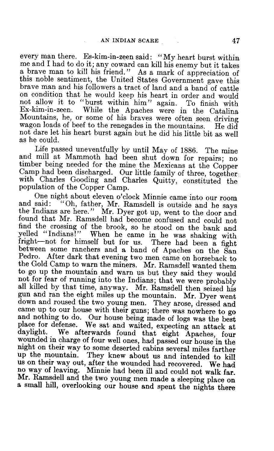every man there. Es-kim-in-zeen said: "My heart burst within me and I had to do it; any coward can kill his enemy but it takes this noble sentiment, the United States Government gave this brave man and his followers a tract of land and a band of cattle on condition that he would keep his heart in order and would not allow it to "burst within him" again. To finish with not allow it to "burst within him" again.<br>Ex-kim-in-zeen. While the Apaches were in While the Apaches were in the Catalina Mountains, he, or some of his braves were often seen driving wagon loads of beef to the renegades in the mountains. He did not dare let his heart burst again but he did his little bit as well as he could.

Life passed uneventfully by until May of 1886. The mine<br>and mill at Mammoth had been shut down for repairs; no<br>timber being needed for the mine the Mexicans at the Copper<br>Camp had been discharged. Our little family of thre

and said: "Oh, father, Mr. Ramsdell is outside and he says the Indians are here." Mr. Dyer got up, went to the door and found that Mr. Ramsdell had become confused and could not find the crossing of the brook, so he stood on the bank and yelled "Indians!" When he came in he was shaking with fright-not for himself but for us. There had been a fight between some ranchers and a band of Apaches on the Pedro. After dark that evening two men came on horseback to the Gold Camp to warn the miners. Mr. Ramsdell wanted them to go up the mountain and warn us but they said they would not for fear of running into the Indians; that we were probably all killed by that time, anyway. Mr. Ramsdell then seized his down and roused the two young men. They arose, dressed and came up to our house with their guns; there was nowhere to go and nothing to do. Our house being made of logs was the best place for defense. We sat and waited, expecting an attack at daylight. We afterwards found that eight Apaches, four wounded in charge of four well ones, had passed our house in the night on their way to some deserted cabins several miles farther up the mountain. They knew about us and intended to kill us on their way out, after the wounded had recovered. We had no way of leaving. Minnie had been ill and could not walk far. Mr. Ramsdell and the two young men made a sleeping place on a small hill, overlooking our house and spent the nights there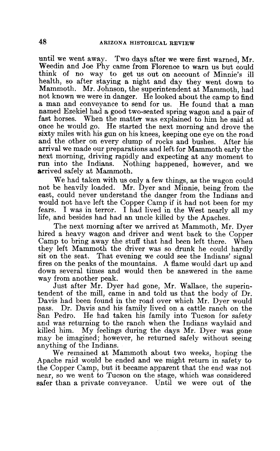until we went away. Two days after we were first warned, Mr. Weedin and Joe Phy came from Florence to warn us but could think of no way to get us out on account of Minnie's ill health, so after staying a night and day they went down to Mammoth. Mr. Johnson, the superintendent at Mammoth, had not known we were in danger. He looked about the camp to find a man and conveyance to send for us. He found that a man named Ezekiel had a good two-seated spring wagon and a pair of fast horses. When the matter was explained to him he said at once he would go. He started the next morning and drove the sixty miles with his gun on his knees, keeping one eye on the road and the other on every clump of rocks and bushes. After his and the other on every clump of rocks and bushes. arrival we made our preparations and left for Mammoth early the next morning, driving rapidly and expecting at any moment to run into the Indians. Nothing happened, however, and we arrived safely at Mammoth.

We had taken with us only a few things, as the wagon could not be heavily loaded. Mr. Dyer and Minnie, being from the east, could never understand the danger from the Indians and would not have left the Copper Camp if it had not been for my fears. I was in terror. I had lived in the West nearly all my life, and besides had had an uncle killed by the Apaches.

The next morning after we arrived at Mammoth, Mr. Dyer hired a heavy wagon and driver and went back to the Copper Camp to bring away the stuff that had been left there. When they left Mammoth the driver was so drunk he could hardly sit on the seat. That evening we could see the Indians' signal fires on the peaks of the mountains. A flame would dart up and down several times and would then be answered in the same way from another peak.

Just after Mr. Dyer had gone, Mr. Wallace, the superintendent of the mill, came in and told us that the body of Dr. Davis had been found in the road over which Mr. Dyer would pass. Dr. Davis and his family lived on a cattle ranch on the San Pedro. He had taken his family into Tucson for safety and was returning to the ranch when the Indians waylaid and killed him. My feelings during the days Mr. Dyer was gone may be imagined; however, he returned safely without seeing anything of the Indians.

We remained at Mammoth about two weeks, hoping the Apache raid would be ended and we might return in safety to the Copper Camp, but it became apparent that the end was not near, so we went to Tucson on the stage, which was considered safer than a private conveyance. Until we were out of the